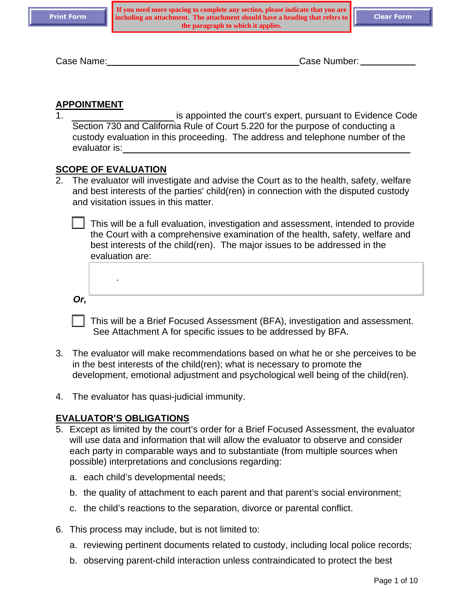Case Name: Case Number:

#### **APPOINTMENT**

1. is appointed the court's expert, pursuant to Evidence Code Section 730 and California Rule of Court 5.220 for the purpose of conducting a custody evaluation in this proceeding. The address and telephone number of the evaluator is:

#### **SCOPE OF EVALUATION**

.

2. The evaluator will investigate and advise the Court as to the health, safety, welfare and best interests of the parties' child(ren) in connection with the disputed custody and visitation issues in this matter.

 This will be a full evaluation, investigation and assessment, intended to provide the Court with a comprehensive examination of the health, safety, welfare and best interests of the child(ren). The major issues to be addressed in the evaluation are:

*Or,* 

 This will be a Brief Focused Assessment (BFA), investigation and assessment. See Attachment A for specific issues to be addressed by BFA.

- 3. The evaluator will make recommendations based on what he or she perceives to be in the best interests of the child(ren); what is necessary to promote the development, emotional adjustment and psychological well being of the child(ren).
- 4. The evaluator has quasi-judicial immunity.

#### **EVALUATOR'S OBLIGATIONS**

- 5. Except as limited by the court's order for a Brief Focused Assessment, the evaluator will use data and information that will allow the evaluator to observe and consider each party in comparable ways and to substantiate (from multiple sources when possible) interpretations and conclusions regarding:
	- a. each child's developmental needs;
	- b. the quality of attachment to each parent and that parent's social environment;
	- c. the child's reactions to the separation, divorce or parental conflict.
- 6. This process may include, but is not limited to:
	- a. reviewing pertinent documents related to custody, including local police records;
	- b. observing parent-child interaction unless contraindicated to protect the best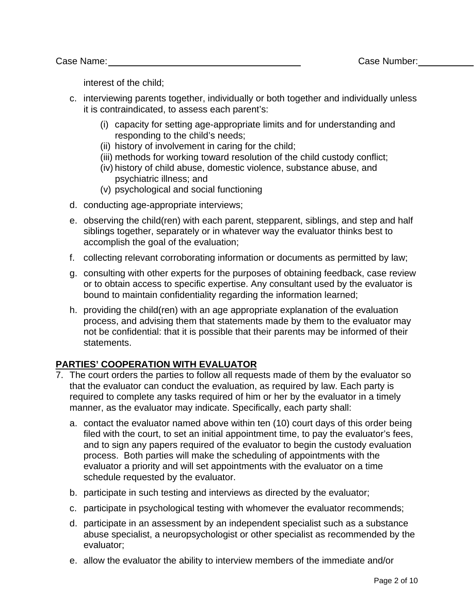interest of the child;

- c. interviewing parents together, individually or both together and individually unless it is contraindicated, to assess each parent's:
	- (i) capacity for setting age-appropriate limits and for understanding and responding to the child's needs;
	- (ii) history of involvement in caring for the child;
	- (iii) methods for working toward resolution of the child custody conflict;
	- (iv) history of child abuse, domestic violence, substance abuse, and psychiatric illness; and
	- (v) psychological and social functioning
- d. conducting age-appropriate interviews;
- e. observing the child(ren) with each parent, stepparent, siblings, and step and half siblings together, separately or in whatever way the evaluator thinks best to accomplish the goal of the evaluation;
- f. collecting relevant corroborating information or documents as permitted by law;
- g. consulting with other experts for the purposes of obtaining feedback, case review or to obtain access to specific expertise. Any consultant used by the evaluator is bound to maintain confidentiality regarding the information learned;
- h. providing the child(ren) with an age appropriate explanation of the evaluation process, and advising them that statements made by them to the evaluator may not be confidential: that it is possible that their parents may be informed of their statements.

# **PARTIES' COOPERATION WITH EVALUATOR**

- 7. The court orders the parties to follow all requests made of them by the evaluator so that the evaluator can conduct the evaluation, as required by law. Each party is required to complete any tasks required of him or her by the evaluator in a timely manner, as the evaluator may indicate. Specifically, each party shall:
	- a. contact the evaluator named above within ten (10) court days of this order being filed with the court, to set an initial appointment time, to pay the evaluator's fees, and to sign any papers required of the evaluator to begin the custody evaluation process. Both parties will make the scheduling of appointments with the evaluator a priority and will set appointments with the evaluator on a time schedule requested by the evaluator.
	- b. participate in such testing and interviews as directed by the evaluator;
	- c. participate in psychological testing with whomever the evaluator recommends;
	- d. participate in an assessment by an independent specialist such as a substance abuse specialist, a neuropsychologist or other specialist as recommended by the evaluator;
	- e. allow the evaluator the ability to interview members of the immediate and/or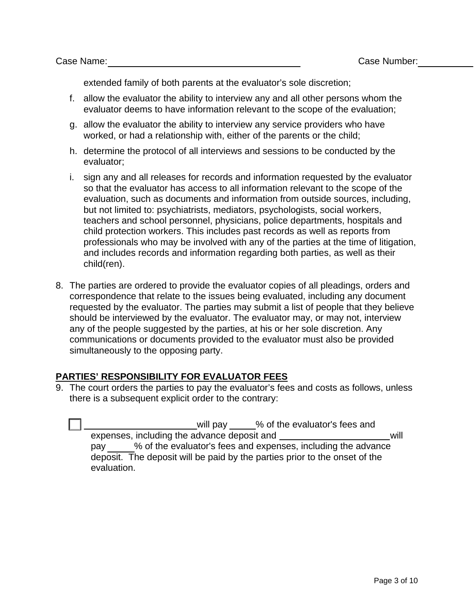extended family of both parents at the evaluator's sole discretion;

- f. allow the evaluator the ability to interview any and all other persons whom the evaluator deems to have information relevant to the scope of the evaluation;
- g. allow the evaluator the ability to interview any service providers who have worked, or had a relationship with, either of the parents or the child;
- h. determine the protocol of all interviews and sessions to be conducted by the evaluator;
- i. sign any and all releases for records and information requested by the evaluator so that the evaluator has access to all information relevant to the scope of the evaluation, such as documents and information from outside sources, including, but not limited to: psychiatrists, mediators, psychologists, social workers, teachers and school personnel, physicians, police departments, hospitals and child protection workers. This includes past records as well as reports from professionals who may be involved with any of the parties at the time of litigation, and includes records and information regarding both parties, as well as their child(ren).
- 8. The parties are ordered to provide the evaluator copies of all pleadings, orders and correspondence that relate to the issues being evaluated, including any document requested by the evaluator. The parties may submit a list of people that they believe should be interviewed by the evaluator. The evaluator may, or may not, interview any of the people suggested by the parties, at his or her sole discretion. Any communications or documents provided to the evaluator must also be provided simultaneously to the opposing party.

# **PARTIES' RESPONSIBILITY FOR EVALUATOR FEES**

9. The court orders the parties to pay the evaluator's fees and costs as follows, unless there is a subsequent explicit order to the contrary:

| % of the evaluator's fees and<br>will pay                                  |
|----------------------------------------------------------------------------|
| expenses, including the advance deposit and<br>will                        |
| % of the evaluator's fees and expenses, including the advance<br>pay       |
| deposit. The deposit will be paid by the parties prior to the onset of the |
| evaluation.                                                                |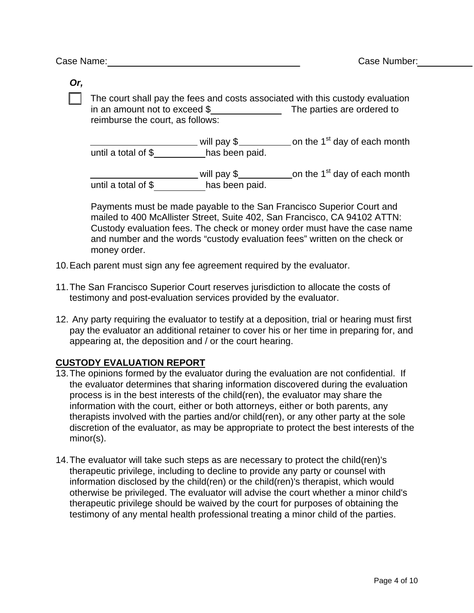*Or,* 

 The court shall pay the fees and costs associated with this custody evaluation in an amount not to exceed \$ The parties are ordered to reimburse the court, as follows:

will pay \$\_\_\_\_\_\_\_\_\_\_\_ on the 1<sup>st</sup> day of each month until a total of  $\frac{1}{2}$  has been paid.

 will pay \$ on the 1st day of each month until a total of \$ has been paid.

Payments must be made payable to the San Francisco Superior Court and mailed to 400 McAllister Street, Suite 402, San Francisco, CA 94102 ATTN: Custody evaluation fees. The check or money order must have the case name and number and the words "custody evaluation fees" written on the check or money order.

- 10. Each parent must sign any fee agreement required by the evaluator.
- 11. The San Francisco Superior Court reserves jurisdiction to allocate the costs of testimony and post-evaluation services provided by the evaluator.
- 12. Any party requiring the evaluator to testify at a deposition, trial or hearing must first pay the evaluator an additional retainer to cover his or her time in preparing for, and appearing at, the deposition and / or the court hearing.

# **CUSTODY EVALUATION REPORT**

- 13. The opinions formed by the evaluator during the evaluation are not confidential. If the evaluator determines that sharing information discovered during the evaluation process is in the best interests of the child(ren), the evaluator may share the information with the court, either or both attorneys, either or both parents, any therapists involved with the parties and/or child(ren), or any other party at the sole discretion of the evaluator, as may be appropriate to protect the best interests of the minor(s).
- 14. The evaluator will take such steps as are necessary to protect the child(ren)'s therapeutic privilege, including to decline to provide any party or counsel with information disclosed by the child(ren) or the child(ren)'s therapist, which would otherwise be privileged. The evaluator will advise the court whether a minor child's therapeutic privilege should be waived by the court for purposes of obtaining the testimony of any mental health professional treating a minor child of the parties.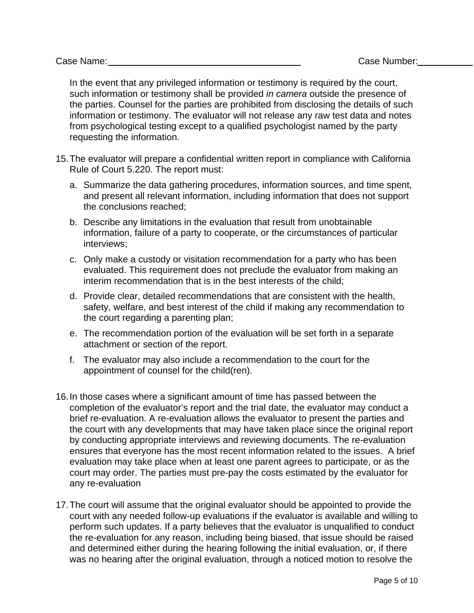In the event that any privileged information or testimony is required by the court, such information or testimony shall be provided *in camera* outside the presence of the parties. Counsel for the parties are prohibited from disclosing the details of such information or testimony. The evaluator will not release any raw test data and notes from psychological testing except to a qualified psychologist named by the party requesting the information.

- 15. The evaluator will prepare a confidential written report in compliance with California Rule of Court 5.220. The report must:
	- a. Summarize the data gathering procedures, information sources, and time spent, and present all relevant information, including information that does not support the conclusions reached;
	- b. Describe any limitations in the evaluation that result from unobtainable information, failure of a party to cooperate, or the circumstances of particular interviews;
	- c. Only make a custody or visitation recommendation for a party who has been evaluated. This requirement does not preclude the evaluator from making an interim recommendation that is in the best interests of the child;
	- d. Provide clear, detailed recommendations that are consistent with the health, safety, welfare, and best interest of the child if making any recommendation to the court regarding a parenting plan;
	- e. The recommendation portion of the evaluation will be set forth in a separate attachment or section of the report.
	- f. The evaluator may also include a recommendation to the court for the appointment of counsel for the child(ren).
- 16. In those cases where a significant amount of time has passed between the completion of the evaluator's report and the trial date, the evaluator may conduct a brief re-evaluation. A re-evaluation allows the evaluator to present the parties and the court with any developments that may have taken place since the original report by conducting appropriate interviews and reviewing documents. The re-evaluation ensures that everyone has the most recent information related to the issues. A brief evaluation may take place when at least one parent agrees to participate, or as the court may order. The parties must pre-pay the costs estimated by the evaluator for any re-evaluation
- 17. The court will assume that the original evaluator should be appointed to provide the court with any needed follow-up evaluations if the evaluator is available and willing to perform such updates. If a party believes that the evaluator is unqualified to conduct the re-evaluation for any reason, including being biased, that issue should be raised and determined either during the hearing following the initial evaluation, or, if there was no hearing after the original evaluation, through a noticed motion to resolve the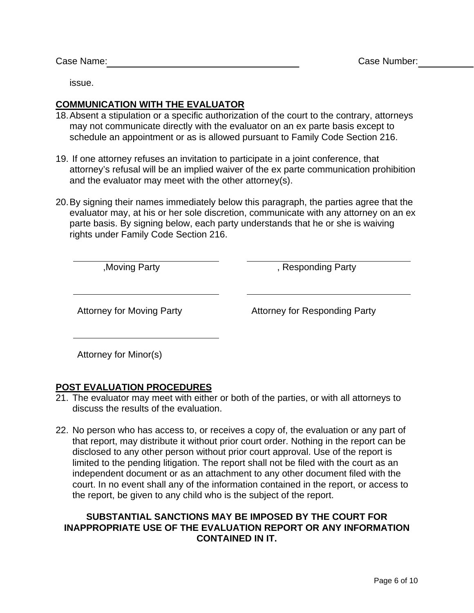issue.

# **COMMUNICATION WITH THE EVALUATOR**

- 18. Absent a stipulation or a specific authorization of the court to the contrary, attorneys may not communicate directly with the evaluator on an ex parte basis except to schedule an appointment or as is allowed pursuant to Family Code Section 216.
- 19. If one attorney refuses an invitation to participate in a joint conference, that attorney's refusal will be an implied waiver of the ex parte communication prohibition and the evaluator may meet with the other attorney(s).
- 20. By signing their names immediately below this paragraph, the parties agree that the evaluator may, at his or her sole discretion, communicate with any attorney on an ex parte basis. By signing below, each party understands that he or she is waiving rights under Family Code Section 216.

,Moving Party , Responding Party

Attorney for Moving Party **Attorney for Responding Party** 

Attorney for Minor(s)

# **POST EVALUATION PROCEDURES**

- 21. The evaluator may meet with either or both of the parties, or with all attorneys to discuss the results of the evaluation.
- 22. No person who has access to, or receives a copy of, the evaluation or any part of that report, may distribute it without prior court order. Nothing in the report can be disclosed to any other person without prior court approval. Use of the report is limited to the pending litigation. The report shall not be filed with the court as an independent document or as an attachment to any other document filed with the court. In no event shall any of the information contained in the report, or access to the report, be given to any child who is the subject of the report.

# **SUBSTANTIAL SANCTIONS MAY BE IMPOSED BY THE COURT FOR INAPPROPRIATE USE OF THE EVALUATION REPORT OR ANY INFORMATION CONTAINED IN IT.**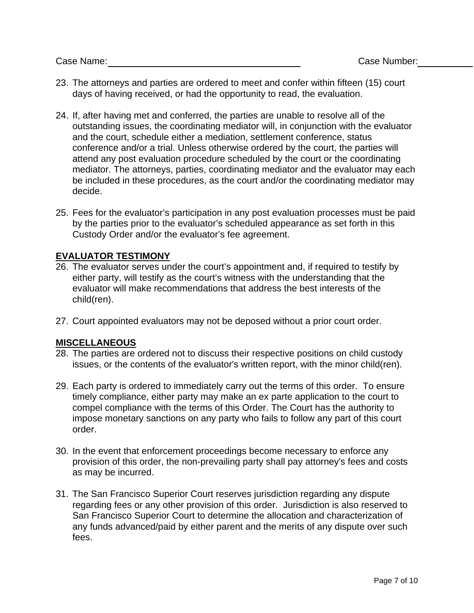- 23. The attorneys and parties are ordered to meet and confer within fifteen (15) court days of having received, or had the opportunity to read, the evaluation.
- 24. If, after having met and conferred, the parties are unable to resolve all of the outstanding issues, the coordinating mediator will, in conjunction with the evaluator and the court, schedule either a mediation, settlement conference, status conference and/or a trial. Unless otherwise ordered by the court, the parties will attend any post evaluation procedure scheduled by the court or the coordinating mediator. The attorneys, parties, coordinating mediator and the evaluator may each be included in these procedures, as the court and/or the coordinating mediator may decide.
- 25. Fees for the evaluator's participation in any post evaluation processes must be paid by the parties prior to the evaluator's scheduled appearance as set forth in this Custody Order and/or the evaluator's fee agreement.

# **EVALUATOR TESTIMONY**

- 26. The evaluator serves under the court's appointment and, if required to testify by either party, will testify as the court's witness with the understanding that the evaluator will make recommendations that address the best interests of the child(ren).
- 27. Court appointed evaluators may not be deposed without a prior court order.

# **MISCELLANEOUS**

- 28. The parties are ordered not to discuss their respective positions on child custody issues, or the contents of the evaluator's written report, with the minor child(ren).
- 29. Each party is ordered to immediately carry out the terms of this order. To ensure timely compliance, either party may make an ex parte application to the court to compel compliance with the terms of this Order. The Court has the authority to impose monetary sanctions on any party who fails to follow any part of this court order.
- 30. In the event that enforcement proceedings become necessary to enforce any provision of this order, the non-prevailing party shall pay attorney's fees and costs as may be incurred.
- 31. The San Francisco Superior Court reserves jurisdiction regarding any dispute regarding fees or any other provision of this order. Jurisdiction is also reserved to San Francisco Superior Court to determine the allocation and characterization of any funds advanced/paid by either parent and the merits of any dispute over such fees.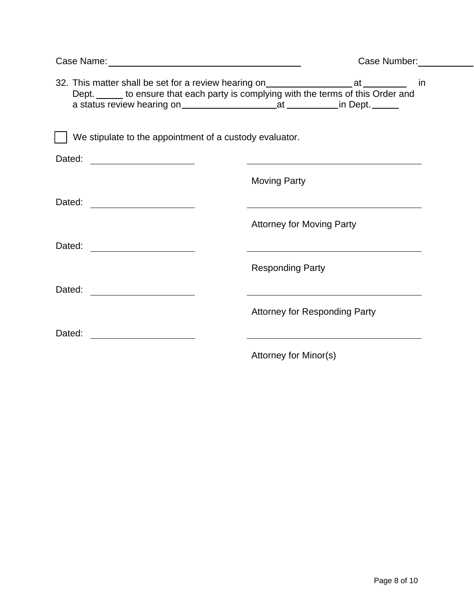|                                                                                                                                | Case Number:                         |
|--------------------------------------------------------------------------------------------------------------------------------|--------------------------------------|
| Dept. _____ to ensure that each party is complying with the terms of this Order and                                            |                                      |
| We stipulate to the appointment of a custody evaluator.                                                                        |                                      |
| Dated: _____________________                                                                                                   |                                      |
|                                                                                                                                | <b>Moving Party</b>                  |
| Dated:<br><u> 1980 - Jan Samuel Barbara, politik eta politik eta politik eta politik eta politik eta politik eta politik e</u> |                                      |
|                                                                                                                                | <b>Attorney for Moving Party</b>     |
| Dated:                                                                                                                         |                                      |
|                                                                                                                                | <b>Responding Party</b>              |
| Dated:                                                                                                                         |                                      |
|                                                                                                                                | <b>Attorney for Responding Party</b> |
| Dated:                                                                                                                         |                                      |
|                                                                                                                                | Attorney for Minor(s)                |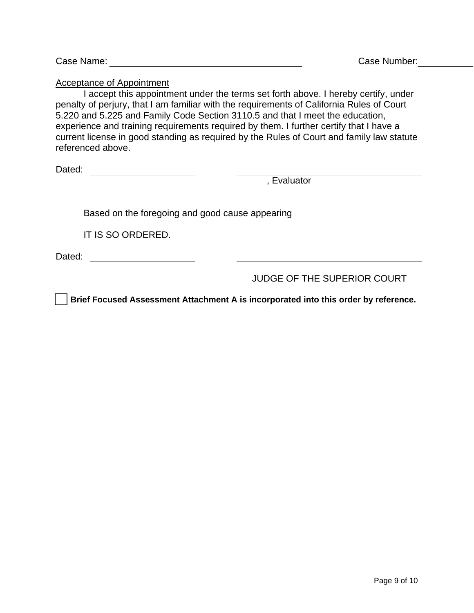Acceptance of Appointment

 I accept this appointment under the terms set forth above. I hereby certify, under penalty of perjury, that I am familiar with the requirements of California Rules of Court 5.220 and 5.225 and Family Code Section 3110.5 and that I meet the education, experience and training requirements required by them. I further certify that I have a current license in good standing as required by the Rules of Court and family law statute referenced above.

Dated:

, Evaluator

Based on the foregoing and good cause appearing

IT IS SO ORDERED.

Dated:

JUDGE OF THE SUPERIOR COURT

 **Brief Focused Assessment Attachment A is incorporated into this order by reference.**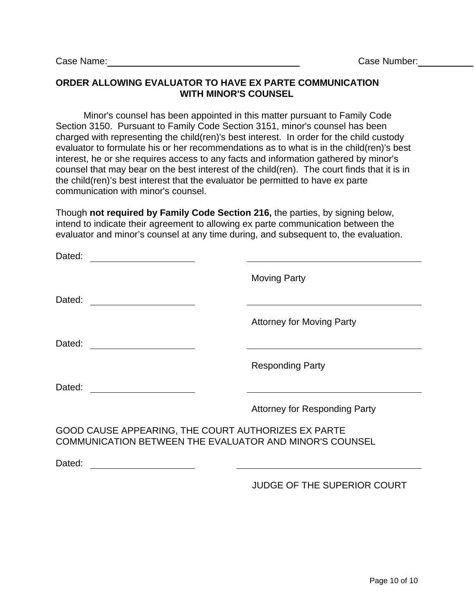# **ORDER ALLOWING EVALUATOR TO HAVE EX PARTE COMMUNICATION WITH MINOR'S COUNSEL**

 Minor's counsel has been appointed in this matter pursuant to Family Code Section 3150. Pursuant to Family Code Section 3151, minor's counsel has been charged with representing the child(ren)'s best interest. In order for the child custody evaluator to formulate his or her recommendations as to what is in the child(ren)'s best interest, he or she requires access to any facts and information gathered by minor's counsel that may bear on the best interest of the child(ren). The court finds that it is in the child(ren)'s best interest that the evaluator be permitted to have ex parte communication with minor's counsel.

Though **not required by Family Code Section 216,** the parties, by signing below, intend to indicate their agreement to allowing ex parte communication between the evaluator and minor's counsel at any time during, and subsequent to, the evaluation.

| Dated: |                                                     |                                                         |  |
|--------|-----------------------------------------------------|---------------------------------------------------------|--|
|        |                                                     | <b>Moving Party</b>                                     |  |
| Dated: |                                                     |                                                         |  |
|        |                                                     | <b>Attorney for Moving Party</b>                        |  |
| Dated: |                                                     |                                                         |  |
|        |                                                     | <b>Responding Party</b>                                 |  |
| Dated: |                                                     |                                                         |  |
|        |                                                     | <b>Attorney for Responding Party</b>                    |  |
|        | GOOD CAUSE APPEARING, THE COURT AUTHORIZES EX PARTE | COMMUNICATION BETWEEN THE EVALUATOR AND MINOR'S COUNSEL |  |
| Dated: |                                                     |                                                         |  |

# JUDGE OF THE SUPERIOR COURT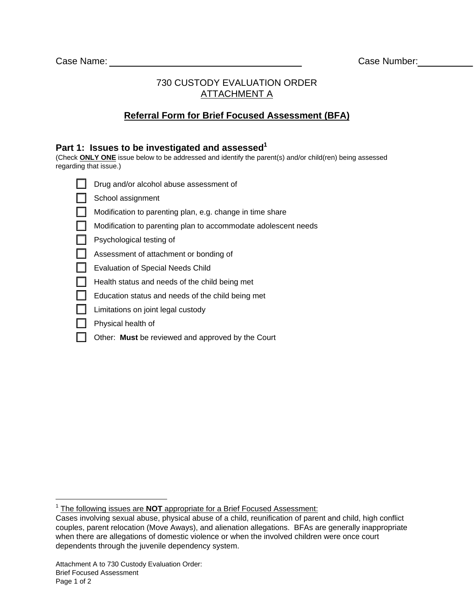# 730 CUSTODY EVALUATION ORDER ATTACHMENT A

# **Referral Form for Brief Focused Assessment (BFA)**

#### Part 1: Issues to be investigated and assessed<sup>1</sup>

(Check **ONLY ONE** issue below to be addressed and identify the parent(s) and/or child(ren) being assessed regarding that issue.)

| Drug and/or alcohol abuse assessment of                        |
|----------------------------------------------------------------|
| School assignment                                              |
| Modification to parenting plan, e.g. change in time share      |
| Modification to parenting plan to accommodate adolescent needs |
| Psychological testing of                                       |
| Assessment of attachment or bonding of                         |
| <b>Evaluation of Special Needs Child</b>                       |
| Health status and needs of the child being met                 |
| Education status and needs of the child being met              |
| Limitations on joint legal custody                             |
| Physical health of                                             |

Other: **Must** be reviewed and approved by the Court

 1 The following issues are **NOT** appropriate for a Brief Focused Assessment:

Cases involving sexual abuse, physical abuse of a child, reunification of parent and child, high conflict couples, parent relocation (Move Aways), and alienation allegations. BFAs are generally inappropriate when there are allegations of domestic violence or when the involved children were once court dependents through the juvenile dependency system.